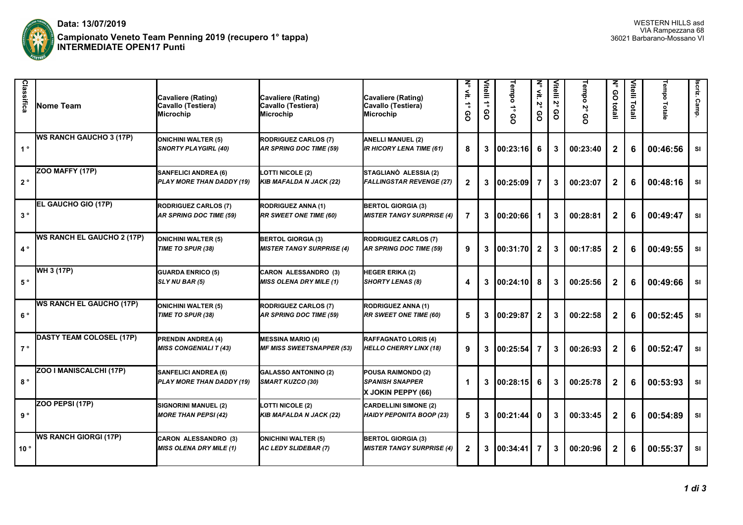

| Classifica     | <b>INome Team</b>                 | Cavaliere (Rating)<br>Cavallo (Testiera)<br>Microchip         | Cavaliere (Rating)<br>Cavallo (Testiera)<br><b>Microchip</b>  | Cavaliere (Rating)<br>Cavallo (Testiera)<br>Microchip               | ζ<br>≨.<br>÷<br>၉ | Vitelli 1°<br>8 | Tempo<br><u>ດ</u> | $\overline{\mathbf{z}}$<br>$\leqq$<br>Ρů<br>၉ | Vitelli<br>Ν,<br>8 | Tempo 2°<br>စ္က | ξ<br>8<br>ilatali | Vitelli<br>Totali | Tempo Totale | Iscriz.<br>Camp. |
|----------------|-----------------------------------|---------------------------------------------------------------|---------------------------------------------------------------|---------------------------------------------------------------------|-------------------|-----------------|-------------------|-----------------------------------------------|--------------------|-----------------|-------------------|-------------------|--------------|------------------|
| 1 <sup>°</sup> | <b>WS RANCH GAUCHO 3 (17P)</b>    | <b>ONICHINI WALTER (5)</b><br><b>SNORTY PLAYGIRL (40)</b>     | <b>RODRIGUEZ CARLOS (7)</b><br>AR SPRING DOC TIME (59)        | <b>ANELLI MANUEL (2)</b><br><b>IR HICORY LENA TIME (61)</b>         | 8                 | 3               | 00:23:16          | 6                                             | 3                  | 00:23:40        | $\mathbf{2}$      | 6                 | 00:46:56     | SI               |
| $2^{\circ}$    | ZOO MAFFY (17P)                   | <b>SANFELICI ANDREA (6)</b><br>PLAY MORE THAN DADDY (19)      | <b>LOTTI NICOLE (2)</b><br><b>KIB MAFALDA N JACK (22)</b>     | STAGLIANO ALESSIA (2)<br><b>FALLINGSTAR REVENGE (27)</b>            | $\mathbf{2}$      | 3               | 00:25:09          | 7                                             | 3                  | 00:23:07        | $\mathbf{2}$      | 6                 | 00:48:16     | SI               |
| $3^{\circ}$    | EL GAUCHO GIO (17P)               | <b>RODRIGUEZ CARLOS (7)</b><br><b>AR SPRING DOC TIME (59)</b> | <b>RODRIGUEZ ANNA (1)</b><br><b>RR SWEET ONE TIME (60)</b>    | <b>BERTOL GIORGIA (3)</b><br><b>MISTER TANGY SURPRISE (4)</b>       | 7                 | 3               | 00:20:66          |                                               | 3                  | 00:28:81        | $\mathbf{2}$      | 6                 | 00:49:47     | <b>SI</b>        |
| $4^{\circ}$    | <b>WS RANCH EL GAUCHO 2 (17P)</b> | <b>ONICHINI WALTER (5)</b><br>TIME TO SPUR (38)               | <b>BERTOL GIORGIA (3)</b><br><b>MISTER TANGY SURPRISE (4)</b> | <b>RODRIGUEZ CARLOS (7)</b><br><b>AR SPRING DOC TIME (59)</b>       | 9                 | 3               | 100:31:701        | $\mathbf{2}$                                  | 3                  | 00:17:85        | $\mathbf{2}$      | 6                 | 00:49:55     | SI               |
| $5^{\circ}$    | WH 3 (17P)                        | <b>GUARDA ENRICO (5)</b><br>SLY NU BAR (5)                    | <b>CARON ALESSANDRO (3)</b><br><b>MISS OLENA DRY MILE (1)</b> | <b>HEGER ERIKA (2)</b><br><b>SHORTY LENAS (8)</b>                   | Δ                 | 3               | 100:24:101        | 8                                             | 3                  | 00:25:56        | $\mathbf{2}$      | 6                 | 00:49:66     | SI               |
| $6^{\circ}$    | <b>WS RANCH EL GAUCHO (17P)</b>   | <b>ONICHINI WALTER (5)</b><br>TIME TO SPUR (38)               | <b>RODRIGUEZ CARLOS (7)</b><br><b>AR SPRING DOC TIME (59)</b> | <b>RODRIGUEZ ANNA (1)</b><br><b>RR SWEET ONE TIME (60)</b>          | 5                 | 3               | 100:29:87         | $\mathbf 2$                                   | 3                  | 00:22:58        | $\mathbf{2}$      | 6                 | 00:52:45     | SI               |
| $7^{\circ}$    | DASTY TEAM COLOSEL (17P)          | <b>PRENDIN ANDREA (4)</b><br><b>MISS CONGENIALI T (43)</b>    | <b>MESSINA MARIO (4)</b><br><b>MF MISS SWEETSNAPPER (53)</b>  | <b>RAFFAGNATO LORIS (4)</b><br><b>HELLO CHERRY LINX (18)</b>        | 9                 | 3               | 00:25:54          | 7                                             | $\mathbf{3}$       | 00:26:93        | $\mathbf{2}$      | 6                 | 00:52:47     | <b>SI</b>        |
| $8^{\circ}$    | ZOO I MANISCALCHI (17P)           | <b>SANFELICI ANDREA (6)</b><br>PLAY MORE THAN DADDY (19)      | <b>GALASSO ANTONINO (2)</b><br><b>SMART KUZCO (30)</b>        | POUSA RAIMONDO (2)<br><b>ISPANISH SNAPPER</b><br>X JOKIN PEPPY (66) | 1                 | 3               | 100:28:15         | 6                                             | 3                  | 00:25:78        | $\mathbf{2}$      | 6                 | 00:53:93     | <b>SI</b>        |
| 9°             | ZOO PEPSI (17P)                   | SIGNORINI MANUEL (2)<br><b>MORE THAN PEPSI (42)</b>           | LOTTI NICOLE (2)<br><b>KIB MAFALDA N JACK (22)</b>            | <b>CARDELLINI SIMONE (2)</b><br><b>HAIDY PEPONITA BOOP (23)</b>     | 5                 | 3               | 00:21:44          | $\bf{0}$                                      | 3                  | 00:33:45        | $\mathbf{2}$      | 6                 | 00:54:89     | SI               |
| 10°            | <b>WS RANCH GIORGI (17P)</b>      | CARON ALESSANDRO (3)<br><b>MISS OLENA DRY MILE (1)</b>        | <b>ONICHINI WALTER (5)</b><br>AC LEDY SLIDEBAR (7)            | <b>BERTOL GIORGIA (3)</b><br><b>MISTER TANGY SURPRISE (4)</b>       | $\mathbf{2}$      | 3               | 100:34:41         |                                               | 3                  | 00:20:96        | $\mathbf{2}$      | 6                 | 00:55:37     | SI               |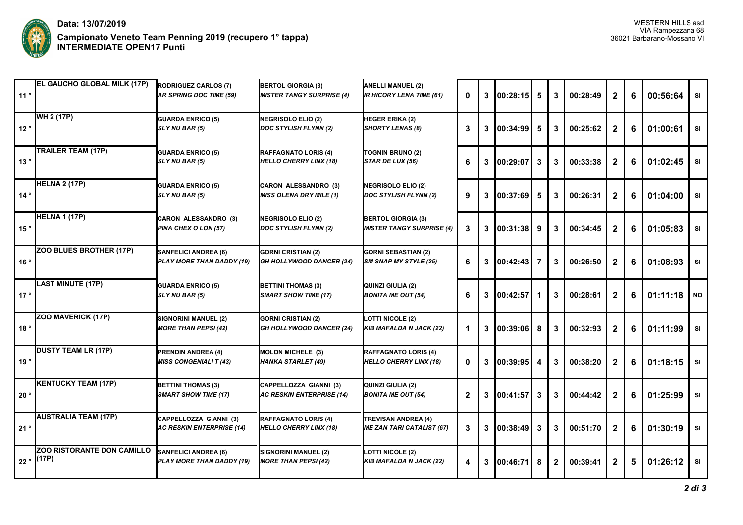

| 11°             | <b>EL GAUCHO GLOBAL MILK (17P)</b>         | <b>RODRIGUEZ CARLOS (7)</b><br><b>AR SPRING DOC TIME (59)</b> | <b>BERTOL GIORGIA (3)</b><br><b>MISTER TANGY SURPRISE (4)</b> | <b>ANELLI MANUEL (2)</b><br><b>IR HICORY LENA TIME (61)</b>    | $\mathbf{0}$ | 3 | 00:28:15   | 5  | 3              | 00:28:49 | $\mathbf{2}$            | 6 | 00:56:64 | <b>SI</b> |
|-----------------|--------------------------------------------|---------------------------------------------------------------|---------------------------------------------------------------|----------------------------------------------------------------|--------------|---|------------|----|----------------|----------|-------------------------|---|----------|-----------|
| 12°             | WH 2 (17P)                                 | <b>GUARDA ENRICO (5)</b><br>SLY NU BAR (5)                    | <b>NEGRISOLO ELIO (2)</b><br>DOC STYLISH FLYNN (2)            | <b>HEGER ERIKA (2)</b><br><b>SHORTY LENAS (8)</b>              | 3            | 3 | 00:34:99   | 5  | $\mathbf{3}$   | 00:25:62 | $\mathbf{2}$            | 6 | 01:00:61 | <b>SI</b> |
| 13°             | TRAILER TEAM (17P)                         | <b>GUARDA ENRICO (5)</b><br>SLY NU BAR (5)                    | <b>RAFFAGNATO LORIS (4)</b><br><b>HELLO CHERRY LINX (18)</b>  | <b>TOGNIN BRUNO (2)</b><br>STAR DE LUX (56)                    | 6            | 3 | 00:29:07   | 3  | $\mathbf{3}$   | 00:33:38 | $\mathbf{2}$            | 6 | 01:02:45 | SI        |
| 14°             | <b>HELNA 2 (17P)</b>                       | <b>GUARDA ENRICO (5)</b><br>SLY NU BAR (5)                    | CARON ALESSANDRO (3)<br><b>MISS OLENA DRY MILE (1)</b>        | <b>NEGRISOLO ELIO (2)</b><br><b>DOC STYLISH FLYNN (2)</b>      | 9            | 3 | 00:37:69   | 5  | 3              | 00:26:31 | $\mathbf{2}$            | 6 | 01:04:00 | SI        |
| 15°             | <b>HELNA 1 (17P)</b>                       | CARON ALESSANDRO (3)<br>PINA CHEX O LON (57)                  | <b>NEGRISOLO ELIO (2)</b><br><b>DOC STYLISH FLYNN (2)</b>     | <b>BERTOL GIORGIA (3)</b><br><b>MISTER TANGY SURPRISE (4)</b>  | 3            | 3 | 00:31:38   | 9  | 3              | 00:34:45 | $\mathbf{2}$            | 6 | 01:05:83 | SI        |
| 16°             | ZOO BLUES BROTHER (17P)                    | <b>SANFELICI ANDREA (6)</b><br>PLAY MORE THAN DADDY (19)      | <b>GORNI CRISTIAN (2)</b><br><b>GH HOLLYWOOD DANCER (24)</b>  | <b>GORNI SEBASTIAN (2)</b><br><b>SM SNAP MY STYLE (25)</b>     | 6            | 3 | 00:42:43   | 7  | 3              | 00:26:50 | $\mathbf{2}$            | 6 | 01:08:93 | SI        |
| 17 <sup>°</sup> | <b>LAST MINUTE (17P)</b>                   | <b>GUARDA ENRICO (5)</b><br>SLY NU BAR (5)                    | <b>BETTINI THOMAS (3)</b><br><b>SMART SHOW TIME (17)</b>      | QUINZI GIULIA (2)<br><b>BONITA ME OUT (54)</b>                 | 6            | 3 | 100:42:57  | -1 | 3              | 00:28:61 | $\mathbf{2}$            | 6 | 01:11:18 | <b>NO</b> |
| 18°             | ZOO MAVERICK (17P)                         | SIGNORINI MANUEL (2)<br><b>MORE THAN PEPSI (42)</b>           | <b>GORNI CRISTIAN (2)</b><br><b>GH HOLLYWOOD DANCER (24)</b>  | LOTTI NICOLE (2)<br><b>KIB MAFALDA N JACK (22)</b>             |              | 3 | 100:39:061 | 8  | 3              | 00:32:93 | $\overline{2}$          | 6 | 01:11:99 | SI        |
| 19°             | <b>DUSTY TEAM LR (17P)</b>                 | <b>PRENDIN ANDREA (4)</b><br><b>MISS CONGENIALI T (43)</b>    | <b>MOLON MICHELE (3)</b><br><b>HANKA STARLET (49)</b>         | <b>RAFFAGNATO LORIS (4)</b><br><b>HELLO CHERRY LINX (18)</b>   | 0            | 3 | 00:39:95   | 4  | 3              | 00:38:20 | $\overline{\mathbf{2}}$ | 6 | 01:18:15 | SI        |
| 20°             | <b>KENTUCKY TEAM (17P)</b>                 | <b>BETTINI THOMAS (3)</b><br><b>SMART SHOW TIME (17)</b>      | CAPPELLOZZA GIANNI (3)<br><b>AC RESKIN ENTERPRISE (14)</b>    | QUINZI GIULIA (2)<br><b>BONITA ME OUT (54)</b>                 | $\mathbf{2}$ | 3 | 00:41:57   | 3  | $\mathbf{3}$   | 00:44:42 | $\overline{2}$          | 6 | 01:25:99 | SI        |
| 21°             | <b>AUSTRALIA TEAM (17P)</b>                | CAPPELLOZZA GIANNI (3)<br><b>AC RESKIN ENTERPRISE (14)</b>    | <b>RAFFAGNATO LORIS (4)</b><br><b>HELLO CHERRY LINX (18)</b>  | <b>TREVISAN ANDREA (4)</b><br><b>ME ZAN TARI CATALIST (67)</b> | 3            | 3 | 00:38:49   | 3  | 3              | 00:51:70 | $\boldsymbol{2}$        | 6 | 01:30:19 | SI        |
| 22°             | <b>ZOO RISTORANTE DON CAMILLO</b><br>(17P) | SANFELICI ANDREA (6)<br>PLAY MORE THAN DADDY (19)             | SIGNORINI MANUEL (2)<br><b>MORE THAN PEPSI (42)</b>           | <b>LOTTI NICOLE (2)</b><br><b>KIB MAFALDA N JACK (22)</b>      | 4            | 3 | 00:46:71   | 8  | $\overline{2}$ | 00:39:41 | $\mathbf{2}$            | 5 | 01:26:12 | SI        |